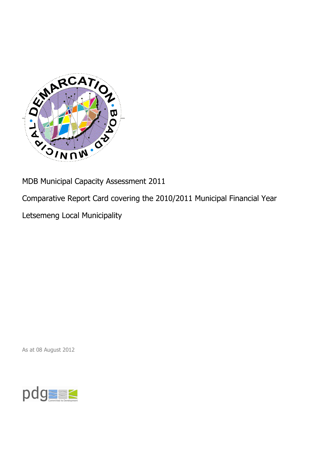

MDB Municipal Capacity Assessment 2011

Comparative Report Card covering the 2010/2011 Municipal Financial Year

Letsemeng Local Municipality

As at 08 August 2012

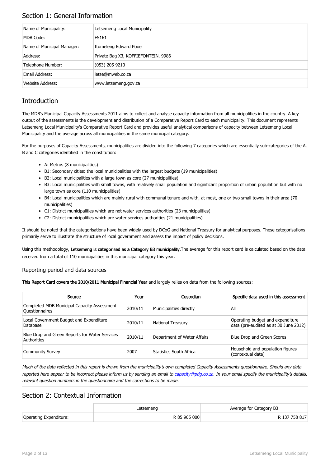## Section 1: General Information

| Name of Municipality:      | <b>Letsemeng Local Municipality</b> |
|----------------------------|-------------------------------------|
| MDB Code:                  | FS161                               |
| Name of Municipal Manager: | Itumeleng Edward Pooe               |
| Address:                   | Private Bag X3, KOFFIEFONTEIN, 9986 |
| Telephone Number:          | $(053)$ 205 9210                    |
| Email Address:             | letse@mweb.co.za                    |
| Website Address:           | www.letsemeng.gov.za                |

## **Introduction**

The MDB's Municipal Capacity Assessments 2011 aims to collect and analyse capacity information from all municipalities in the country. A key output of the assessments is the development and distribution of a Comparative Report Card to each municipality. This document represents Letsemeng Local Municipality's Comparative Report Card and provides useful analytical comparisons of capacity between Letsemeng Local Municipality and the average across all municipalities in the same municipal category.

For the purposes of Capacity Assessments, municipalities are divided into the following 7 categories which are essentially sub-categories of the A, B and C categories identified in the constitution:

- A: Metros (8 municipalities)
- B1: Secondary cities: the local municipalities with the largest budgets (19 municipalities)
- B2: Local municipalities with a large town as core (27 municipalities)
- B3: Local municipalities with small towns, with relatively small population and significant proportion of urban population but with no large town as core (110 municipalities)
- B4: Local municipalities which are mainly rural with communal tenure and with, at most, one or two small towns in their area (70 municipalities)
- C1: District municipalities which are not water services authorities (23 municipalities)
- C2: District municipalities which are water services authorities (21 municipalities)

It should be noted that the categorisations have been widely used by DCoG and National Treasury for analytical purposes. These categorisations primarily serve to illustrate the structure of local government and assess the impact of policy decisions.

Using this methodology, Letsemeng is categorised as a Category B3 municipality. The average for this report card is calculated based on the data received from a total of 110 municipalities in this municipal category this year.

#### Reporting period and data sources

This Report Card covers the 2010/2011 Municipal Financial Year and largely relies on data from the following sources:

| Source                                                               | Year    | Custodian                   | Specific data used in this assessment                                     |
|----------------------------------------------------------------------|---------|-----------------------------|---------------------------------------------------------------------------|
| Completed MDB Municipal Capacity Assessment<br><b>Ouestionnaires</b> | 2010/11 | Municipalities directly     | All                                                                       |
| Local Government Budget and Expenditure<br>Database                  | 2010/11 | <b>National Treasury</b>    | Operating budget and expenditure<br>data (pre-audited as at 30 June 2012) |
| Blue Drop and Green Reports for Water Services<br>Authorities        | 2010/11 | Department of Water Affairs | Blue Drop and Green Scores                                                |
| <b>Community Survey</b>                                              | 2007    | Statistics South Africa     | Household and population figures<br>(contextual data)                     |

Much of the data reflected in this report is drawn from the municipality's own completed Capacity Assessments questionnaire. Should any data reported here appear to be incorrect please inform us by sending an email to [capacity@pdg.co.za](mailto:capacity@pdg.co.za). In your email specify the municipality's details, relevant question numbers in the questionnaire and the corrections to be made.

### Section 2: Contextual Information

|                        | ∟etsemeng    | Average for Category B3 |
|------------------------|--------------|-------------------------|
| Operating Expenditure: | R 85 905 000 | R 137 758 817           |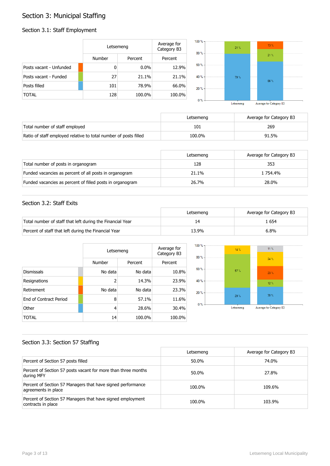## Section 3: Municipal Staffing

## Section 3.1: Staff Employment

|                         | Letsemeng |         | Average for<br>Category B3 | 100 % -<br>80% | 21% | 13.%    |  |
|-------------------------|-----------|---------|----------------------------|----------------|-----|---------|--|
|                         | Number    | Percent | Percent                    |                |     | $21 \%$ |  |
| Posts vacant - Unfunded | 0         | $0.0\%$ | 12.9%                      | 60 % -         |     |         |  |
| Posts vacant - Funded   | 27        | 21.1%   | 21.1%                      | 40 % -         | 79% | 66%     |  |
| Posts filled            | 101       | 78.9%   | 66.0%                      | 20%            |     |         |  |
| <b>TOTAL</b>            | 128       | 100.0%  | 100.0%                     | $0 \%$ -       |     |         |  |

| Letsemeng | Average for Category B3 |
|-----------|-------------------------|

|                                                                  | Letsemeng | Average for Category B3 |
|------------------------------------------------------------------|-----------|-------------------------|
| Total number of staff employed                                   | 101       | 269                     |
| Ratio of staff employed relative to total number of posts filled | 100.0%    | 91.5%                   |

|                                                           | Letsemeng | Average for Category B3 |
|-----------------------------------------------------------|-----------|-------------------------|
| Total number of posts in organogram                       | 128       | 353                     |
| Funded vacancies as percent of all posts in organogram    | 21.1%     | 1 754.4%                |
| Funded vacancies as percent of filled posts in organogram | 26.7%     | 28.0%                   |

#### Section 3.2: Staff Exits

|                                                           | Letsemeng | Average for Category B3 |
|-----------------------------------------------------------|-----------|-------------------------|
| Total number of staff that left during the Financial Year |           | . 654                   |
| Percent of staff that left during the Financial Year      | 13.9%     | 6.8%                    |

|                               |         | Letsemeng |         |  |
|-------------------------------|---------|-----------|---------|--|
|                               | Number  | Percent   | Percent |  |
| <b>Dismissals</b>             | No data | No data   | 10.8%   |  |
| Resignations                  | 2       | 14.3%     | 23.9%   |  |
| Retirement                    | No data | No data   | 23.3%   |  |
| <b>Fnd of Contract Period</b> | 8       | 57.1%     | 11.6%   |  |
| Other                         | 4       | 28.6%     | 30.4%   |  |
| TOTAL                         | 14      | 100.0%    | 100.0%  |  |



#### Section 3.3: Section 57 Staffing

|                                                                                    | Letsemeng | Average for Category B3 |
|------------------------------------------------------------------------------------|-----------|-------------------------|
| Percent of Section 57 posts filled                                                 | 50.0%     | 74.0%                   |
| Percent of Section 57 posts vacant for more than three months<br>during MFY        | 50.0%     | 27.8%                   |
| Percent of Section 57 Managers that have signed performance<br>agreements in place | 100.0%    | 109.6%                  |
| Percent of Section 57 Managers that have signed employment<br>contracts in place   | 100.0%    | 103.9%                  |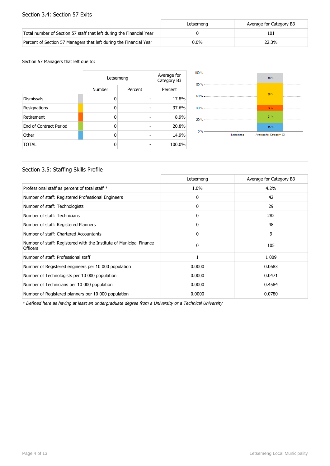#### Section 3.4: Section 57 Exits

|                                                                      | Letsemena | Average for Category B3 |
|----------------------------------------------------------------------|-----------|-------------------------|
| Total number of Section 57 staff that left during the Financial Year |           | 101                     |
| Percent of Section 57 Managers that left during the Financial Year   | $0.0\%$   | 22.3%                   |

#### Section 57 Managers that left due to:

|                        | Letsemeng | Average for<br>Category B3 |         |
|------------------------|-----------|----------------------------|---------|
|                        | Number    | Percent                    | Percent |
| <b>Dismissals</b>      | n         |                            | 17.8%   |
| Resignations           | ŋ         |                            | 37.6%   |
| Retirement             | ŋ         |                            | 8.9%    |
| End of Contract Period | ŋ         |                            | 20.8%   |
| Other                  | n         |                            | 14.9%   |
| <b>TOTAL</b>           | n         |                            | 100.0%  |



#### Section 3.5: Staffing Skills Profile

|                                                                                        | Letsemeng | Average for Category B3 |
|----------------------------------------------------------------------------------------|-----------|-------------------------|
| Professional staff as percent of total staff *                                         | 1.0%      | 4.2%                    |
| Number of staff: Registered Professional Engineers                                     | 0         | 42                      |
| Number of staff: Technologists                                                         | 0         | 29                      |
| Number of staff: Technicians                                                           | 0         | 282                     |
| Number of staff: Registered Planners                                                   | 0         | 48                      |
| Number of staff: Chartered Accountants                                                 | 0         | 9                       |
| Number of staff: Registered with the Institute of Municipal Finance<br><b>Officers</b> | $\Omega$  | 105                     |
| Number of staff: Professional staff                                                    |           | 1 0 0 9                 |
| Number of Registered engineers per 10 000 population                                   | 0.0000    | 0.0683                  |
| Number of Technologists per 10 000 population                                          | 0.0000    | 0.0471                  |
| Number of Technicians per 10 000 population                                            | 0.0000    | 0.4584                  |
| Number of Registered planners per 10 000 population                                    | 0.0000    | 0.0780                  |

\* Defined here as having at least an undergraduate degree from a University or a Technical University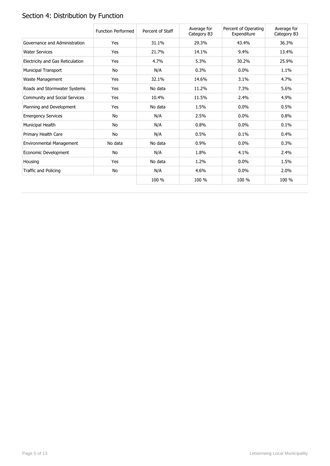# Section 4: Distribution by Function

|                                  | <b>Function Performed</b> | Percent of Staff | Average for<br>Category B3 | Percent of Operating<br>Expenditure | Average for<br>Category B3 |
|----------------------------------|---------------------------|------------------|----------------------------|-------------------------------------|----------------------------|
| Governance and Administration    | Yes                       | 31.1%            | 29.3%                      | 43.4%                               | 36.3%                      |
| <b>Water Services</b>            | Yes                       | 21.7%            | 14.1%                      | 9.4%                                | 13.4%                      |
| Electricity and Gas Reticulation | Yes                       | 4.7%             | 5.3%                       | 30.2%                               | 25.9%                      |
| <b>Municipal Transport</b>       | No                        | N/A              | 0.3%                       | 0.0%                                | 1.1%                       |
| Waste Management                 | Yes                       | 32.1%            | 14.6%                      | 3.1%                                | 4.7%                       |
| Roads and Stormwater Systems     | Yes                       | No data          | 11.2%                      | 7.3%                                | 5.6%                       |
| Community and Social Services    | Yes                       | 10.4%            | 11.5%                      | 2.4%                                | 4.9%                       |
| Planning and Development         | Yes                       | No data          | 1.5%                       | 0.0%                                | 0.5%                       |
| <b>Emergency Services</b>        | No                        | N/A              | 2.5%                       | 0.0%                                | 0.8%                       |
| Municipal Health                 | No                        | N/A              | 0.8%                       | 0.0%                                | 0.1%                       |
| Primary Health Care              | No                        | N/A              | 0.5%                       | 0.1%                                | 0.4%                       |
| Environmental Management         | No data                   | No data          | 0.9%                       | $0.0\%$                             | 0.3%                       |
| Economic Development             | No                        | N/A              | 1.8%                       | 4.1%                                | 2.4%                       |
| Housing                          | Yes                       | No data          | 1.2%                       | $0.0\%$                             | 1.5%                       |
| Traffic and Policing             | No                        | N/A              | 4.6%                       | 0.0%                                | 2.0%                       |
|                                  |                           | 100 %            | 100 %                      | 100 %                               | 100 %                      |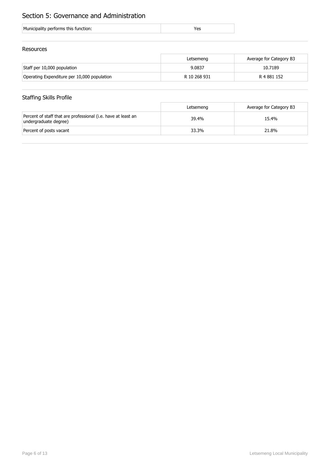## Section 5: Governance and Administration

| Municipality performs this function: |
|--------------------------------------|
|--------------------------------------|

#### Resources

|                                             | Letsemeng    | Average for Category B3 |
|---------------------------------------------|--------------|-------------------------|
| Staff per 10,000 population                 | 9.0837       | 10.7189                 |
| Operating Expenditure per 10,000 population | R 10 268 931 | R 4 881 152             |

## Staffing Skills Profile

|                                                                                        | Letsemeng | Average for Category B3 |
|----------------------------------------------------------------------------------------|-----------|-------------------------|
| Percent of staff that are professional (i.e. have at least an<br>undergraduate degree) | 39.4%     | 15.4%                   |
| Percent of posts vacant                                                                | 33.3%     | 21.8%                   |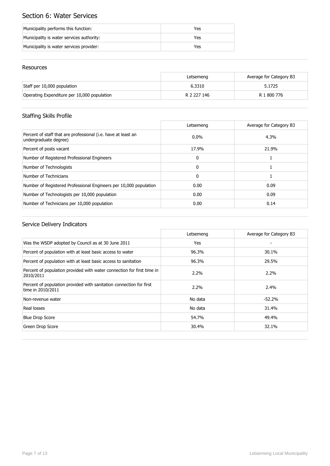## Section 6: Water Services

| Municipality performs this function:      | Yes |
|-------------------------------------------|-----|
| Municipality is water services authority: | Yes |
| Municipality is water services provider:  | Yes |

#### Resources

|                                             | Letsemeng   | Average for Category B3 |
|---------------------------------------------|-------------|-------------------------|
| Staff per 10,000 population                 | 6.3310      | 5.1725                  |
| Operating Expenditure per 10,000 population | R 2 227 146 | R 1 800 776             |

## Staffing Skills Profile

|                                                                                        | Letsemeng    | Average for Category B3 |
|----------------------------------------------------------------------------------------|--------------|-------------------------|
| Percent of staff that are professional (i.e. have at least an<br>undergraduate degree) | $0.0\%$      | 4.3%                    |
| Percent of posts vacant                                                                | 17.9%        | 21.9%                   |
| Number of Registered Professional Engineers                                            | $\mathbf{0}$ |                         |
| Number of Technologists                                                                | $\mathbf{0}$ |                         |
| Number of Technicians                                                                  | $\mathbf{0}$ |                         |
| Number of Registered Professional Engineers per 10,000 population                      | 0.00         | 0.09                    |
| Number of Technologists per 10,000 population                                          | 0.00         | 0.09                    |
| Number of Technicians per 10,000 population                                            | 0.00         | 0.14                    |

|                                                                                          | Letsemeng | Average for Category B3 |
|------------------------------------------------------------------------------------------|-----------|-------------------------|
| Was the WSDP adopted by Council as at 30 June 2011                                       | Yes       |                         |
| Percent of population with at least basic access to water                                | 96.3%     | 30.1%                   |
| Percent of population with at least basic access to sanitation                           | 96.3%     | 29.5%                   |
| Percent of population provided with water connection for first time in<br>2010/2011      | 2.2%      | $2.2\%$                 |
| Percent of population provided with sanitation connection for first<br>time in 2010/2011 | 2.2%      | 2.4%                    |
| Non-revenue water                                                                        | No data   | $-52.2%$                |
| Real losses                                                                              | No data   | 31.4%                   |
| <b>Blue Drop Score</b>                                                                   | 54.7%     | 49.4%                   |
| Green Drop Score                                                                         | 30.4%     | 32.1%                   |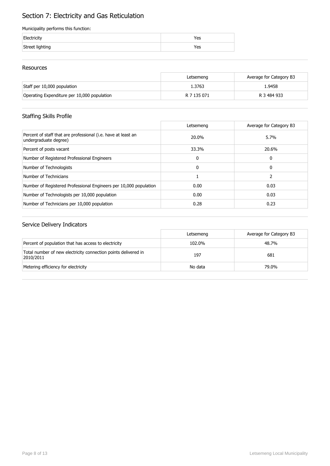## Section 7: Electricity and Gas Reticulation

#### Municipality performs this function:

|                 | 'es |
|-----------------|-----|
| Street lighting | 'es |

#### Resources

|                                             | Letsemeng   | Average for Category B3 |
|---------------------------------------------|-------------|-------------------------|
| Staff per 10,000 population                 | 1.3763      | 1.9458                  |
| Operating Expenditure per 10,000 population | R 7 135 071 | R 3 484 933             |

## Staffing Skills Profile

|                                                                                        | Letsemeng | Average for Category B3 |
|----------------------------------------------------------------------------------------|-----------|-------------------------|
| Percent of staff that are professional (i.e. have at least an<br>undergraduate degree) | 20.0%     | 5.7%                    |
| Percent of posts vacant                                                                | 33.3%     | 20.6%                   |
| Number of Registered Professional Engineers                                            | 0         | 0                       |
| Number of Technologists                                                                | 0         | 0                       |
| Number of Technicians                                                                  |           |                         |
| Number of Registered Professional Engineers per 10,000 population                      | 0.00      | 0.03                    |
| Number of Technologists per 10,000 population                                          | 0.00      | 0.03                    |
| Number of Technicians per 10,000 population                                            | 0.28      | 0.23                    |

|                                                                             | Letsemeng | Average for Category B3 |
|-----------------------------------------------------------------------------|-----------|-------------------------|
| Percent of population that has access to electricity                        | 102.0%    | 48.7%                   |
| Total number of new electricity connection points delivered in<br>2010/2011 | 197       | 681                     |
| Metering efficiency for electricity                                         | No data   | 79.0%                   |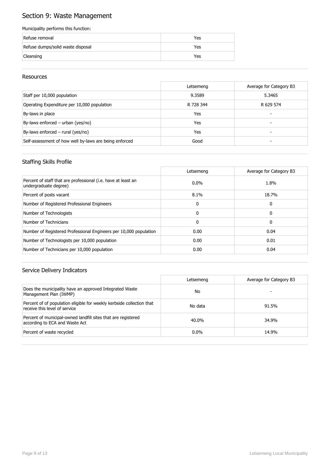## Section 9: Waste Management

#### Municipality performs this function:

| Refuse removal                    | Yes |
|-----------------------------------|-----|
| Refuse dumps/solid waste disposal | Yes |
| Cleansing                         | Yes |

#### Resources

|                                                        | Letsemeng | Average for Category B3 |
|--------------------------------------------------------|-----------|-------------------------|
| Staff per 10,000 population                            | 9.3589    | 5.3465                  |
| Operating Expenditure per 10,000 population            | R 728 344 | R 629 574               |
| By-laws in place                                       | Yes       | -                       |
| By-laws enforced – urban (yes/no)                      | Yes       | -                       |
| By-laws enforced $-$ rural (yes/no)                    | Yes       |                         |
| Self-assessment of how well by-laws are being enforced | Good      |                         |

#### Staffing Skills Profile

|                                                                                        | Letsemeng    | Average for Category B3 |
|----------------------------------------------------------------------------------------|--------------|-------------------------|
| Percent of staff that are professional (i.e. have at least an<br>undergraduate degree) | $0.0\%$      | 1.8%                    |
| Percent of posts vacant                                                                | $8.1\%$      | 18.7%                   |
| Number of Registered Professional Engineers                                            | $\mathbf{0}$ | 0                       |
| Number of Technologists                                                                | $\Omega$     | 0                       |
| Number of Technicians                                                                  | $\mathbf{0}$ | 0                       |
| Number of Registered Professional Engineers per 10,000 population                      | 0.00         | 0.04                    |
| Number of Technologists per 10,000 population                                          | 0.00         | 0.01                    |
| Number of Technicians per 10,000 population                                            | 0.00         | 0.04                    |

|                                                                                                        | Letsemeng | Average for Category B3 |
|--------------------------------------------------------------------------------------------------------|-----------|-------------------------|
| Does the municipality have an approved Integrated Waste<br>Management Plan (IWMP)                      | No        |                         |
| Percent of of population eligible for weekly kerbside collection that<br>receive this level of service | No data   | 91.5%                   |
| Percent of municipal-owned landfill sites that are registered<br>according to ECA and Waste Act        | 40.0%     | 34.9%                   |
| Percent of waste recycled                                                                              | $0.0\%$   | 14.9%                   |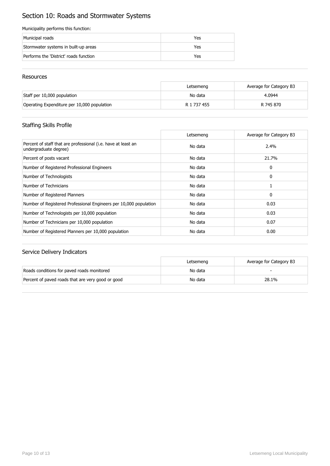## Section 10: Roads and Stormwater Systems

#### Municipality performs this function:

| Municipal roads                        | Yes |
|----------------------------------------|-----|
| Stormwater systems in built-up areas   | Yes |
| Performs the 'District' roads function | Yes |

#### Resources

|                                             | Letsemeng   | Average for Category B3 |
|---------------------------------------------|-------------|-------------------------|
| Staff per 10,000 population                 | No data     | 4.0944                  |
| Operating Expenditure per 10,000 population | R 1 737 455 | R 745 870               |

## Staffing Skills Profile

|                                                                                        | Letsemeng | Average for Category B3 |
|----------------------------------------------------------------------------------------|-----------|-------------------------|
| Percent of staff that are professional (i.e. have at least an<br>undergraduate degree) | No data   | 2.4%                    |
| Percent of posts vacant                                                                | No data   | 21.7%                   |
| Number of Registered Professional Engineers                                            | No data   | 0                       |
| Number of Technologists                                                                | No data   | 0                       |
| Number of Technicians                                                                  | No data   |                         |
| Number of Registered Planners                                                          | No data   | 0                       |
| Number of Registered Professional Engineers per 10,000 population                      | No data   | 0.03                    |
| Number of Technologists per 10,000 population                                          | No data   | 0.03                    |
| Number of Technicians per 10,000 population                                            | No data   | 0.07                    |
| Number of Registered Planners per 10,000 population                                    | No data   | 0.00                    |

|                                                   | Letsemeng | Average for Category B3 |
|---------------------------------------------------|-----------|-------------------------|
| Roads conditions for paved roads monitored        | No data   |                         |
| Percent of paved roads that are very good or good | No data   | 28.1%                   |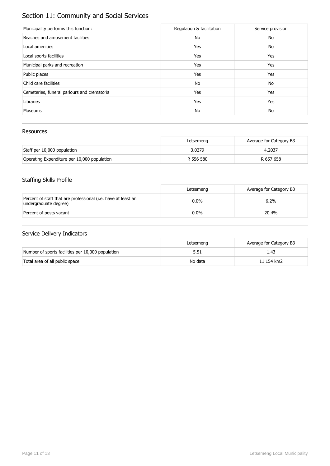## Section 11: Community and Social Services

| Municipality performs this function:        | Regulation & facilitation | Service provision |
|---------------------------------------------|---------------------------|-------------------|
| Beaches and amusement facilities            | No                        | No                |
| Local amenities                             | Yes                       | No                |
| Local sports facilities                     | Yes                       | Yes               |
| Municipal parks and recreation              | Yes                       | Yes               |
| Public places                               | Yes                       | Yes               |
| Child care facilities                       | No                        | No                |
| Cemeteries, funeral parlours and crematoria | Yes                       | Yes               |
| Libraries                                   | Yes                       | Yes               |
| <b>Museums</b>                              | No                        | No                |

#### Resources

|                                             | Letsemeng | Average for Category B3 |
|---------------------------------------------|-----------|-------------------------|
| Staff per 10,000 population                 | 3.0279    | 4.2037                  |
| Operating Expenditure per 10,000 population | R 556 580 | R 657 658               |

## Staffing Skills Profile

|                                                                                        | Letsemeng | Average for Category B3 |
|----------------------------------------------------------------------------------------|-----------|-------------------------|
| Percent of staff that are professional (i.e. have at least an<br>undergraduate degree) | $0.0\%$   | 6.2%                    |
| Percent of posts vacant                                                                | $0.0\%$   | 20.4%                   |

|                                                   | Letsemeng | Average for Category B3 |
|---------------------------------------------------|-----------|-------------------------|
| Number of sports facilities per 10,000 population | 5.51      | 1.43                    |
| Total area of all public space                    | No data   | 11 154 km2              |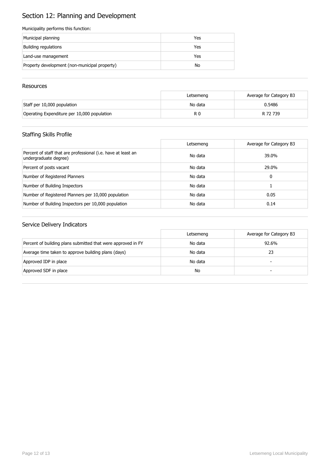## Section 12: Planning and Development

#### Municipality performs this function:

| Municipal planning                            | Yes |
|-----------------------------------------------|-----|
| Building regulations                          | Yes |
| Land-use management                           | Yes |
| Property development (non-municipal property) | No  |

#### **Resources**

|                                             | Letsemeng | Average for Category B3 |
|---------------------------------------------|-----------|-------------------------|
| Staff per 10,000 population                 | No data   | 0.5486                  |
| Operating Expenditure per 10,000 population | R 0       | R 72 739                |

## Staffing Skills Profile

|                                                                                        | Letsemeng | Average for Category B3 |
|----------------------------------------------------------------------------------------|-----------|-------------------------|
| Percent of staff that are professional (i.e. have at least an<br>undergraduate degree) | No data   | 39.0%                   |
| Percent of posts vacant                                                                | No data   | 29.0%                   |
| Number of Registered Planners                                                          | No data   | 0                       |
| Number of Building Inspectors                                                          | No data   |                         |
| Number of Registered Planners per 10,000 population                                    | No data   | 0.05                    |
| Number of Building Inspectors per 10,000 population                                    | No data   | 0.14                    |

|                                                              | Letsemeng | Average for Category B3  |
|--------------------------------------------------------------|-----------|--------------------------|
| Percent of building plans submitted that were approved in FY | No data   | 92.6%                    |
| Average time taken to approve building plans (days)          | No data   | 23                       |
| Approved IDP in place                                        | No data   | $\overline{\phantom{0}}$ |
| Approved SDF in place                                        | No        | -                        |